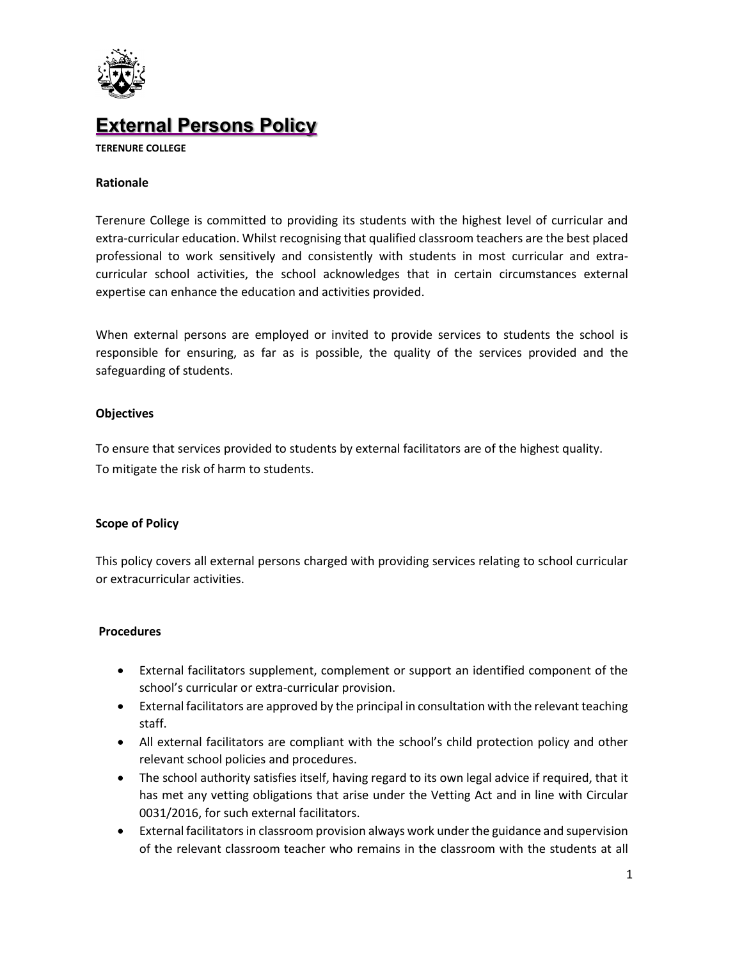

# **External Persons Policy**

**TERENURE COLLEGE**

#### **Rationale**

Terenure College is committed to providing its students with the highest level of curricular and extra-curricular education. Whilst recognising that qualified classroom teachers are the best placed professional to work sensitively and consistently with students in most curricular and extracurricular school activities, the school acknowledges that in certain circumstances external expertise can enhance the education and activities provided.

When external persons are employed or invited to provide services to students the school is responsible for ensuring, as far as is possible, the quality of the services provided and the safeguarding of students.

#### **Objectives**

To ensure that services provided to students by external facilitators are of the highest quality. To mitigate the risk of harm to students.

### **Scope of Policy**

This policy covers all external persons charged with providing services relating to school curricular or extracurricular activities.

#### **Procedures**

- External facilitators supplement, complement or support an identified component of the school's curricular or extra-curricular provision.
- External facilitators are approved by the principal in consultation with the relevant teaching staff.
- All external facilitators are compliant with the school's child protection policy and other relevant school policies and procedures.
- The school authority satisfies itself, having regard to its own legal advice if required, that it has met any vetting obligations that arise under the Vetting Act and in line with Circular 0031/2016, for such external facilitators.
- External facilitators in classroom provision always work under the guidance and supervision of the relevant classroom teacher who remains in the classroom with the students at all